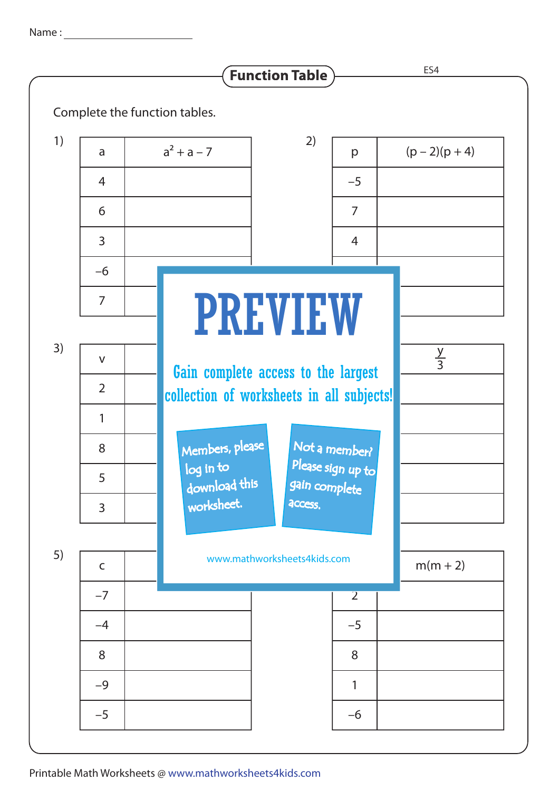